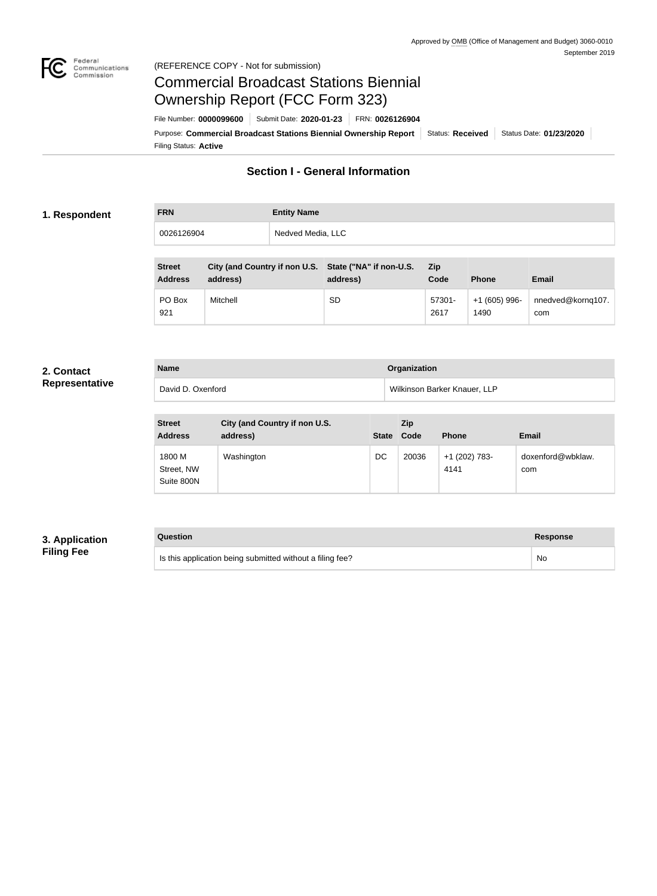

#### Federal<br>Communications<br>Commission (REFERENCE COPY - Not for submission)

# Commercial Broadcast Stations Biennial Ownership Report (FCC Form 323)

Filing Status: **Active** Purpose: Commercial Broadcast Stations Biennial Ownership Report Status: Received Status Date: 01/23/2020 File Number: **0000099600** Submit Date: **2020-01-23** FRN: **0026126904**

## **Section I - General Information**

#### **1. Respondent**

# **FRN Entity Name** 0026126904 Nedved Media, LLC

| <b>Street</b><br><b>Address</b> | City (and Country if non U.S. State ("NA" if non-U.S.<br>address) | address) | <b>Zip</b><br>Code | <b>Phone</b>           | <b>Email</b>             |
|---------------------------------|-------------------------------------------------------------------|----------|--------------------|------------------------|--------------------------|
| PO Box<br>921                   | Mitchell                                                          | SD       | 57301-<br>2617     | $+1(605)$ 996-<br>1490 | nnedved@kornq107.<br>com |

#### **2. Contact Representative**

| Representative |  |  |  |  |
|----------------|--|--|--|--|
|                |  |  |  |  |

| <b>Name</b>       | Organization                 |  |
|-------------------|------------------------------|--|
| David D. Oxenford | Wilkinson Barker Knauer, LLP |  |

| <b>Street</b><br><b>Address</b>    | City (and Country if non U.S.<br>address) | <b>State</b> | Zip<br>Code | <b>Phone</b>          | <b>Email</b>             |
|------------------------------------|-------------------------------------------|--------------|-------------|-----------------------|--------------------------|
| 1800 M<br>Street, NW<br>Suite 800N | Washington                                | DC           | 20036       | +1 (202) 783-<br>4141 | doxenford@wbklaw.<br>com |

#### **3. Application Filing Fee**

### **Question Response**

Is this application being submitted without a filing fee? No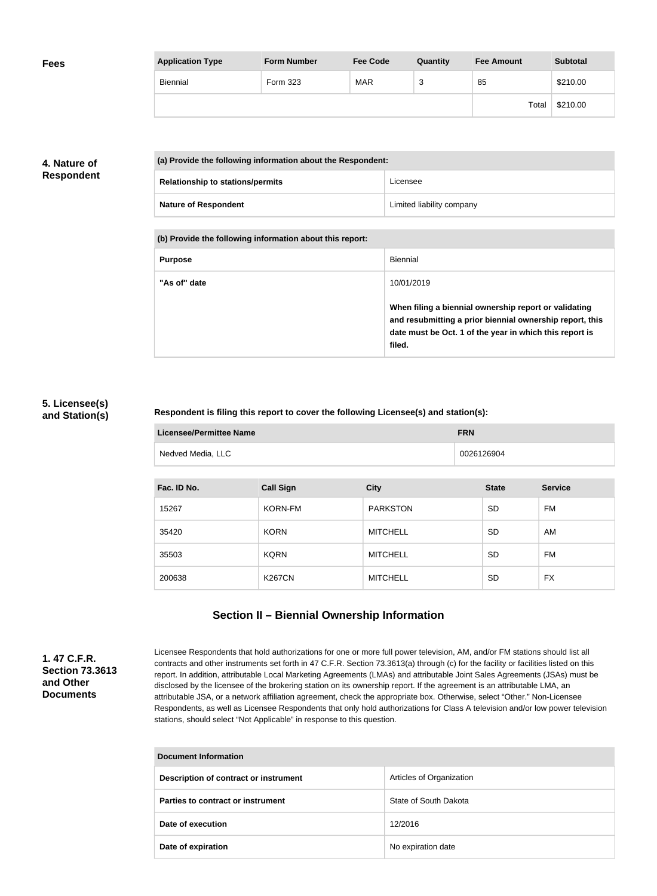| <b>Fees</b> | <b>Application Type</b> | <b>Form Number</b> | <b>Fee Code</b> | Quantity | <b>Fee Amount</b> | <b>Subtotal</b> |
|-------------|-------------------------|--------------------|-----------------|----------|-------------------|-----------------|
|             | Biennial                | Form 323           | <b>MAR</b>      | ົ<br>د   | 85                | \$210.00        |
|             |                         |                    |                 |          | Total             | \$210.00        |

### **4. Nature of Respondent**

| (a) Provide the following information about the Respondent: |                           |  |
|-------------------------------------------------------------|---------------------------|--|
| <b>Relationship to stations/permits</b>                     | Licensee                  |  |
| <b>Nature of Respondent</b>                                 | Limited liability company |  |

**(b) Provide the following information about this report:**

| <b>Purpose</b> | Biennial                                                                                                                                                                               |
|----------------|----------------------------------------------------------------------------------------------------------------------------------------------------------------------------------------|
| "As of" date   | 10/01/2019                                                                                                                                                                             |
|                | When filing a biennial ownership report or validating<br>and resubmitting a prior biennial ownership report, this<br>date must be Oct. 1 of the year in which this report is<br>filed. |

#### **5. Licensee(s) and Station(s)**

#### **Respondent is filing this report to cover the following Licensee(s) and station(s):**

| Licensee/Permittee Name | <b>FRN</b> |
|-------------------------|------------|
| Nedved Media, LLC       | 0026126904 |

| Fac. ID No. | <b>Call Sign</b> | <b>City</b>     | <b>State</b> | <b>Service</b> |
|-------------|------------------|-----------------|--------------|----------------|
| 15267       | <b>KORN-FM</b>   | <b>PARKSTON</b> | <b>SD</b>    | FM.            |
| 35420       | <b>KORN</b>      | <b>MITCHELL</b> | <b>SD</b>    | AM             |
| 35503       | <b>KQRN</b>      | <b>MITCHELL</b> | <b>SD</b>    | FM             |
| 200638      | <b>K267CN</b>    | <b>MITCHELL</b> | <b>SD</b>    | <b>FX</b>      |

# **Section II – Biennial Ownership Information**

**1. 47 C.F.R. Section 73.3613 and Other Documents**

Licensee Respondents that hold authorizations for one or more full power television, AM, and/or FM stations should list all contracts and other instruments set forth in 47 C.F.R. Section 73.3613(a) through (c) for the facility or facilities listed on this report. In addition, attributable Local Marketing Agreements (LMAs) and attributable Joint Sales Agreements (JSAs) must be disclosed by the licensee of the brokering station on its ownership report. If the agreement is an attributable LMA, an attributable JSA, or a network affiliation agreement, check the appropriate box. Otherwise, select "Other." Non-Licensee Respondents, as well as Licensee Respondents that only hold authorizations for Class A television and/or low power television stations, should select "Not Applicable" in response to this question.

| <b>Document Information</b>           |                          |  |  |
|---------------------------------------|--------------------------|--|--|
| Description of contract or instrument | Articles of Organization |  |  |
| Parties to contract or instrument     | State of South Dakota    |  |  |
| Date of execution                     | 12/2016                  |  |  |
| Date of expiration                    | No expiration date       |  |  |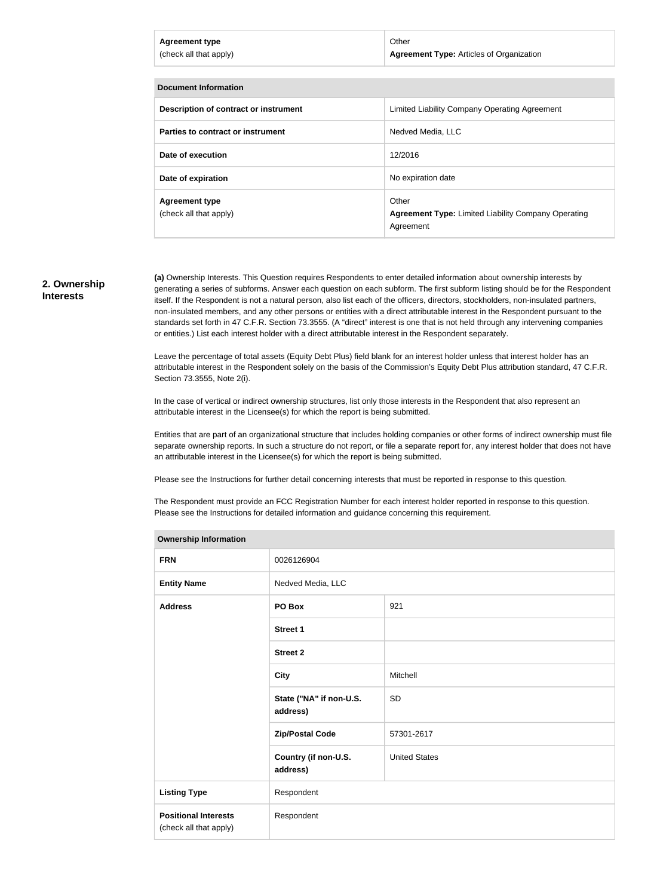| <b>Agreement type</b><br>(check all that apply) | Other<br><b>Agreement Type:</b> Articles of Organization            |
|-------------------------------------------------|---------------------------------------------------------------------|
| <b>Document Information</b>                     |                                                                     |
|                                                 |                                                                     |
| Description of contract or instrument           | Limited Liability Company Operating Agreement                       |
| Parties to contract or instrument               | Nedved Media, LLC                                                   |
| Date of execution                               | 12/2016                                                             |
| Date of expiration                              | No expiration date                                                  |
| <b>Agreement type</b><br>(check all that apply) | Other<br><b>Agreement Type: Limited Liability Company Operating</b> |

#### **2. Ownership Interests**

**(a)** Ownership Interests. This Question requires Respondents to enter detailed information about ownership interests by generating a series of subforms. Answer each question on each subform. The first subform listing should be for the Respondent itself. If the Respondent is not a natural person, also list each of the officers, directors, stockholders, non-insulated partners, non-insulated members, and any other persons or entities with a direct attributable interest in the Respondent pursuant to the standards set forth in 47 C.F.R. Section 73.3555. (A "direct" interest is one that is not held through any intervening companies or entities.) List each interest holder with a direct attributable interest in the Respondent separately.

Agreement

Leave the percentage of total assets (Equity Debt Plus) field blank for an interest holder unless that interest holder has an attributable interest in the Respondent solely on the basis of the Commission's Equity Debt Plus attribution standard, 47 C.F.R. Section 73.3555, Note 2(i).

In the case of vertical or indirect ownership structures, list only those interests in the Respondent that also represent an attributable interest in the Licensee(s) for which the report is being submitted.

Entities that are part of an organizational structure that includes holding companies or other forms of indirect ownership must file separate ownership reports. In such a structure do not report, or file a separate report for, any interest holder that does not have an attributable interest in the Licensee(s) for which the report is being submitted.

Please see the Instructions for further detail concerning interests that must be reported in response to this question.

The Respondent must provide an FCC Registration Number for each interest holder reported in response to this question. Please see the Instructions for detailed information and guidance concerning this requirement.

| <b>Ownership Information</b>                          |                                     |                      |  |  |  |
|-------------------------------------------------------|-------------------------------------|----------------------|--|--|--|
| <b>FRN</b>                                            | 0026126904                          |                      |  |  |  |
| <b>Entity Name</b>                                    | Nedved Media, LLC                   |                      |  |  |  |
| <b>Address</b>                                        | PO Box                              | 921                  |  |  |  |
|                                                       | <b>Street 1</b>                     |                      |  |  |  |
|                                                       | <b>Street 2</b>                     |                      |  |  |  |
|                                                       | <b>City</b>                         | Mitchell             |  |  |  |
|                                                       | State ("NA" if non-U.S.<br>address) | <b>SD</b>            |  |  |  |
|                                                       | <b>Zip/Postal Code</b>              | 57301-2617           |  |  |  |
|                                                       | Country (if non-U.S.<br>address)    | <b>United States</b> |  |  |  |
| <b>Listing Type</b>                                   | Respondent                          |                      |  |  |  |
| <b>Positional Interests</b><br>(check all that apply) | Respondent                          |                      |  |  |  |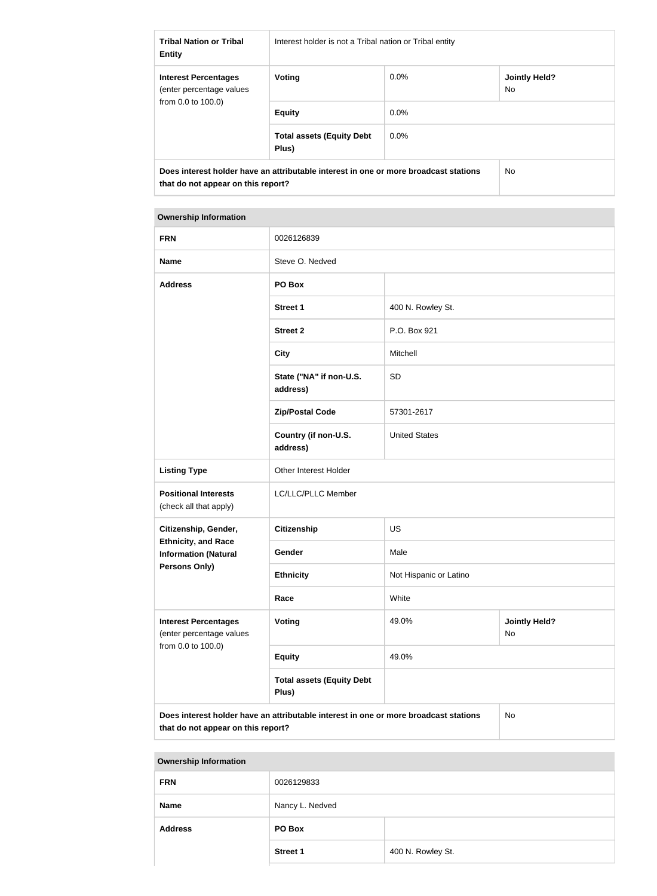| <b>Tribal Nation or Tribal</b><br><b>Entity</b>                                                                            | Interest holder is not a Tribal nation or Tribal entity |         |                             |
|----------------------------------------------------------------------------------------------------------------------------|---------------------------------------------------------|---------|-----------------------------|
| <b>Interest Percentages</b><br>(enter percentage values<br>from $0.0$ to $100.0$ )                                         | Voting                                                  | $0.0\%$ | <b>Jointly Held?</b><br>No. |
|                                                                                                                            | <b>Equity</b>                                           | $0.0\%$ |                             |
|                                                                                                                            | <b>Total assets (Equity Debt</b><br>Plus)               | $0.0\%$ |                             |
| Does interest holder have an attributable interest in one or more broadcast stations<br>that do not appear on this report? |                                                         | No.     |                             |

#### **Ownership Information**

| <b>FRN</b>                                                                                            | 0026126839                                |                        |                            |
|-------------------------------------------------------------------------------------------------------|-------------------------------------------|------------------------|----------------------------|
| <b>Name</b>                                                                                           | Steve O. Nedved                           |                        |                            |
| <b>Address</b>                                                                                        | PO Box                                    |                        |                            |
|                                                                                                       | <b>Street 1</b>                           | 400 N. Rowley St.      |                            |
|                                                                                                       | <b>Street 2</b>                           | P.O. Box 921           |                            |
|                                                                                                       | <b>City</b>                               | Mitchell               |                            |
|                                                                                                       | State ("NA" if non-U.S.<br>address)       | SD                     |                            |
|                                                                                                       | <b>Zip/Postal Code</b>                    | 57301-2617             |                            |
|                                                                                                       | Country (if non-U.S.<br>address)          | <b>United States</b>   |                            |
| <b>Listing Type</b>                                                                                   | Other Interest Holder                     |                        |                            |
| <b>Positional Interests</b><br>(check all that apply)                                                 | LC/LLC/PLLC Member                        |                        |                            |
| Citizenship, Gender,                                                                                  | <b>Citizenship</b>                        | <b>US</b>              |                            |
| <b>Ethnicity, and Race</b><br><b>Information (Natural</b>                                             | Gender                                    | Male                   |                            |
| <b>Persons Only)</b>                                                                                  | <b>Ethnicity</b>                          | Not Hispanic or Latino |                            |
|                                                                                                       | Race                                      | White                  |                            |
| <b>Interest Percentages</b><br>(enter percentage values                                               | Voting                                    | 49.0%                  | <b>Jointly Held?</b><br>No |
| from 0.0 to 100.0)                                                                                    | <b>Equity</b>                             | 49.0%                  |                            |
|                                                                                                       | <b>Total assets (Equity Debt</b><br>Plus) |                        |                            |
| $N_{\Omega}$<br>Doos interest helder have an attributable interest in one or more broadcast stations. |                                           |                        |                            |

**Does interest holder have an attributable interest in one or more broadcast stations that do not appear on this report?**

No

#### **Ownership Information**

| <b>FRN</b>     | 0026129833      |                   |
|----------------|-----------------|-------------------|
| <b>Name</b>    | Nancy L. Nedved |                   |
| <b>Address</b> | PO Box          |                   |
|                | <b>Street 1</b> | 400 N. Rowley St. |
|                |                 |                   |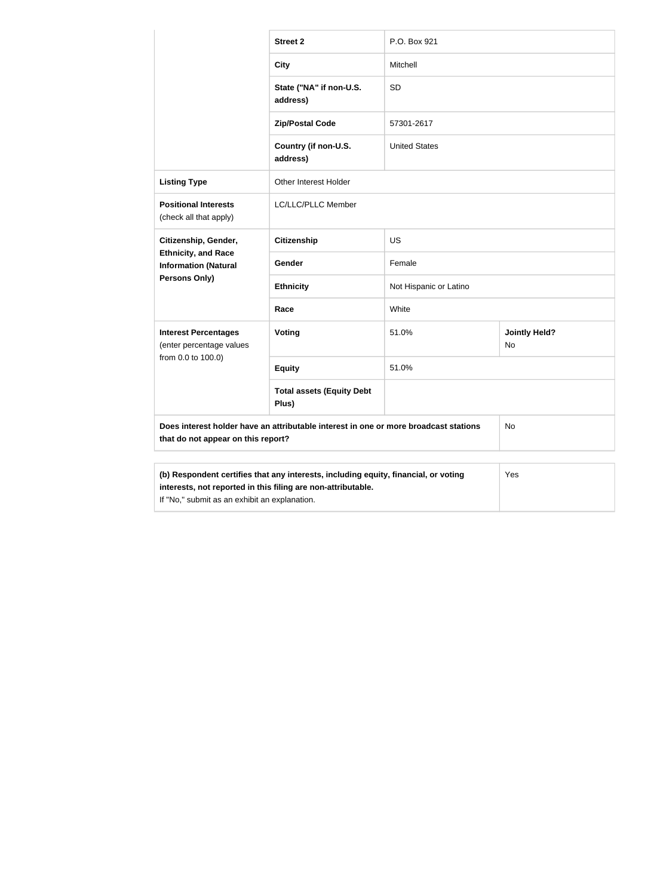|                                                                                                                                                            | <b>Street 2</b>                           | P.O. Box 921           |                            |  |
|------------------------------------------------------------------------------------------------------------------------------------------------------------|-------------------------------------------|------------------------|----------------------------|--|
|                                                                                                                                                            | <b>City</b>                               | Mitchell               |                            |  |
|                                                                                                                                                            | State ("NA" if non-U.S.<br>address)       | SD                     |                            |  |
|                                                                                                                                                            | <b>Zip/Postal Code</b>                    | 57301-2617             |                            |  |
|                                                                                                                                                            | Country (if non-U.S.<br>address)          | <b>United States</b>   |                            |  |
| <b>Listing Type</b>                                                                                                                                        | Other Interest Holder                     |                        |                            |  |
| <b>Positional Interests</b><br>(check all that apply)                                                                                                      | LC/LLC/PLLC Member                        |                        |                            |  |
| Citizenship, Gender,<br><b>Ethnicity, and Race</b><br><b>Information (Natural</b>                                                                          | <b>Citizenship</b>                        | US                     |                            |  |
|                                                                                                                                                            | Gender                                    | Female                 |                            |  |
| Persons Only)                                                                                                                                              | <b>Ethnicity</b>                          | Not Hispanic or Latino |                            |  |
|                                                                                                                                                            | Race                                      | White                  |                            |  |
| <b>Interest Percentages</b><br>(enter percentage values                                                                                                    | Voting                                    | 51.0%                  | <b>Jointly Held?</b><br>No |  |
| from 0.0 to 100.0)                                                                                                                                         | <b>Equity</b>                             | 51.0%                  |                            |  |
|                                                                                                                                                            | <b>Total assets (Equity Debt</b><br>Plus) |                        |                            |  |
| Does interest holder have an attributable interest in one or more broadcast stations<br>that do not appear on this report?                                 |                                           | No                     |                            |  |
|                                                                                                                                                            |                                           |                        |                            |  |
| (b) Respondent certifies that any interests, including equity, financial, or voting<br>Yes<br>interests, not reported in this filing are non-attributable. |                                           |                        |                            |  |

If "No," submit as an exhibit an explanation.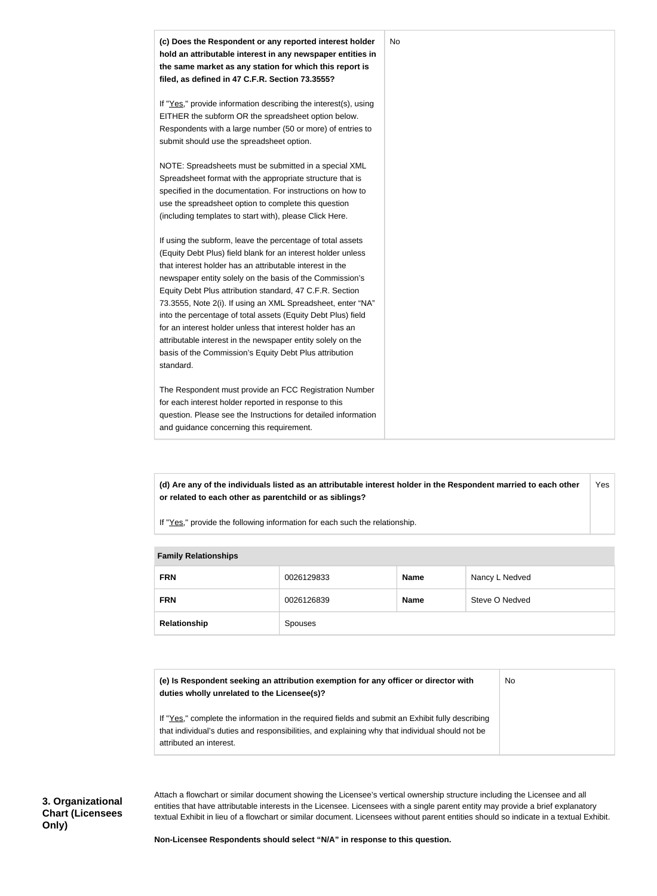

**(d) Are any of the individuals listed as an attributable interest holder in the Respondent married to each other or related to each other as parentchild or as siblings?** Yes

If "Yes," provide the following information for each such the relationship.

| <b>Fallilly Relationships</b> |            |             |                |
|-------------------------------|------------|-------------|----------------|
| <b>FRN</b>                    | 0026129833 | <b>Name</b> | Nancy L Nedved |
| <b>FRN</b>                    | 0026126839 | <b>Name</b> | Steve O Nedved |
| Relationship                  | Spouses    |             |                |

#### **Family Relationships**

| (e) Is Respondent seeking an attribution exemption for any officer or director with | No. |
|-------------------------------------------------------------------------------------|-----|
| duties wholly unrelated to the Licensee(s)?                                         |     |

If "Yes," complete the information in the required fields and submit an Exhibit fully describing that individual's duties and responsibilities, and explaining why that individual should not be attributed an interest.

**3. Organizational Chart (Licensees Only)**

Attach a flowchart or similar document showing the Licensee's vertical ownership structure including the Licensee and all entities that have attributable interests in the Licensee. Licensees with a single parent entity may provide a brief explanatory textual Exhibit in lieu of a flowchart or similar document. Licensees without parent entities should so indicate in a textual Exhibit.

**Non-Licensee Respondents should select "N/A" in response to this question.**